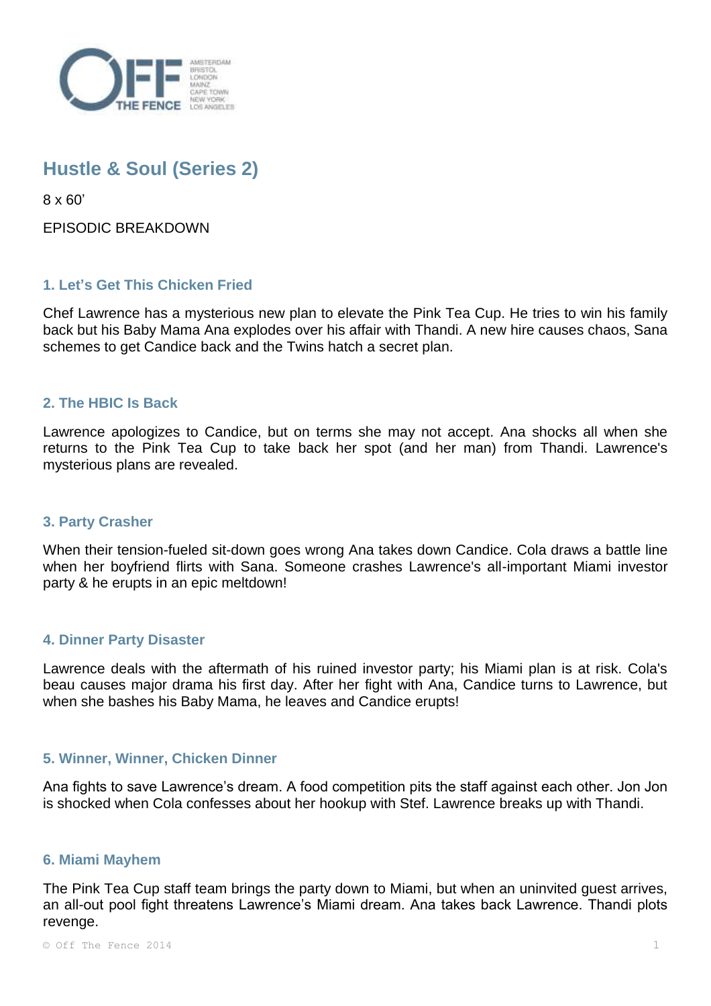

# **Hustle & Soul (Series 2)**

8 x 60'

EPISODIC BREAKDOWN

## **1. Let's Get This Chicken Fried**

Chef Lawrence has a mysterious new plan to elevate the Pink Tea Cup. He tries to win his family back but his Baby Mama Ana explodes over his affair with Thandi. A new hire causes chaos, Sana schemes to get Candice back and the Twins hatch a secret plan.

#### **2. The HBIC Is Back**

Lawrence apologizes to Candice, but on terms she may not accept. Ana shocks all when she returns to the Pink Tea Cup to take back her spot (and her man) from Thandi. Lawrence's mysterious plans are revealed.

#### **3. Party Crasher**

When their tension-fueled sit-down goes wrong Ana takes down Candice. Cola draws a battle line when her boyfriend flirts with Sana. Someone crashes Lawrence's all-important Miami investor party & he erupts in an epic meltdown!

#### **4. Dinner Party Disaster**

Lawrence deals with the aftermath of his ruined investor party; his Miami plan is at risk. Cola's beau causes major drama his first day. After her fight with Ana, Candice turns to Lawrence, but when she bashes his Baby Mama, he leaves and Candice erupts!

#### **5. Winner, Winner, Chicken Dinner**

Ana fights to save Lawrence's dream. A food competition pits the staff against each other. Jon Jon is shocked when Cola confesses about her hookup with Stef. Lawrence breaks up with Thandi.

#### **6. Miami Mayhem**

The Pink Tea Cup staff team brings the party down to Miami, but when an uninvited guest arrives, an all-out pool fight threatens Lawrence's Miami dream. Ana takes back Lawrence. Thandi plots revenge.